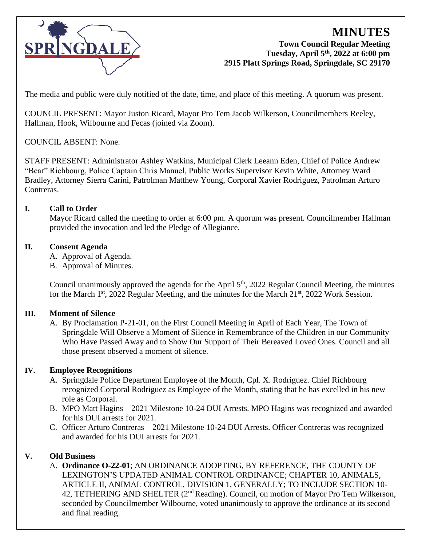

# **MINUTES Town Council Regular Meeting Tuesday, April 5th, 2022 at 6:00 pm 2915 Platt Springs Road, Springdale, SC 29170**

The media and public were duly notified of the date, time, and place of this meeting. A quorum was present.

COUNCIL PRESENT: Mayor Juston Ricard, Mayor Pro Tem Jacob Wilkerson, Councilmembers Reeley, Hallman, Hook, Wilbourne and Fecas (joined via Zoom).

## COUNCIL ABSENT: None.

STAFF PRESENT: Administrator Ashley Watkins, Municipal Clerk Leeann Eden, Chief of Police Andrew "Bear" Richbourg, Police Captain Chris Manuel, Public Works Supervisor Kevin White, Attorney Ward Bradley, Attorney Sierra Carini, Patrolman Matthew Young, Corporal Xavier Rodriguez, Patrolman Arturo Contreras.

### **I. Call to Order**

Mayor Ricard called the meeting to order at 6:00 pm. A quorum was present. Councilmember Hallman provided the invocation and led the Pledge of Allegiance.

### **II. Consent Agenda**

- A. Approval of Agenda.
- B. Approval of Minutes.

Council unanimously approved the agenda for the April 5<sup>th</sup>, 2022 Regular Council Meeting, the minutes for the March  $1<sup>st</sup>$ , 2022 Regular Meeting, and the minutes for the March  $21<sup>st</sup>$ , 2022 Work Session.

#### **III. Moment of Silence**

A. By Proclamation P-21-01, on the First Council Meeting in April of Each Year, The Town of Springdale Will Observe a Moment of Silence in Remembrance of the Children in our Community Who Have Passed Away and to Show Our Support of Their Bereaved Loved Ones. Council and all those present observed a moment of silence.

## **IV. Employee Recognitions**

- A. Springdale Police Department Employee of the Month, Cpl. X. Rodriguez. Chief Richbourg recognized Corporal Rodriguez as Employee of the Month, stating that he has excelled in his new role as Corporal.
- B. MPO Matt Hagins 2021 Milestone 10-24 DUI Arrests. MPO Hagins was recognized and awarded for his DUI arrests for 2021.
- C. Officer Arturo Contreras 2021 Milestone 10-24 DUI Arrests. Officer Contreras was recognized and awarded for his DUI arrests for 2021.

#### **V. Old Business**

A. **Ordinance O-22-01**; AN ORDINANCE ADOPTING, BY REFERENCE, THE COUNTY OF LEXINGTON'S UPDATED ANIMAL CONTROL ORDINANCE; CHAPTER 10, ANIMALS, ARTICLE II, ANIMAL CONTROL, DIVISION 1, GENERALLY; TO INCLUDE SECTION 10- 42, TETHERING AND SHELTER (2<sup>nd</sup> Reading). Council, on motion of Mayor Pro Tem Wilkerson, seconded by Councilmember Wilbourne, voted unanimously to approve the ordinance at its second and final reading.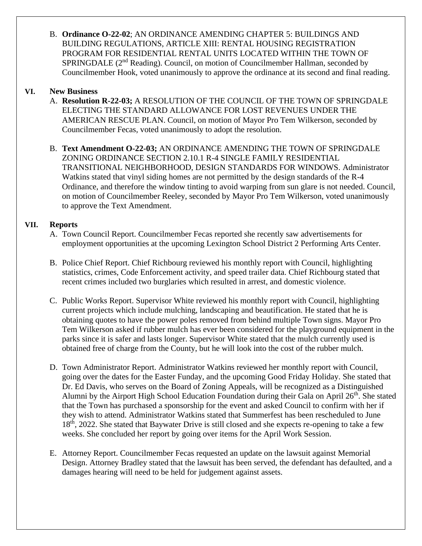B. **Ordinance O-22-02**; AN ORDINANCE AMENDING CHAPTER 5: BUILDINGS AND BUILDING REGULATIONS, ARTICLE XIII: RENTAL HOUSING REGISTRATION PROGRAM FOR RESIDENTIAL RENTAL UNITS LOCATED WITHIN THE TOWN OF SPRINGDALE  $(2^{nd}$  Reading). Council, on motion of Councilmember Hallman, seconded by Councilmember Hook, voted unanimously to approve the ordinance at its second and final reading.

## **VI. New Business**

- A. **Resolution R-22-03;** A RESOLUTION OF THE COUNCIL OF THE TOWN OF SPRINGDALE ELECTING THE STANDARD ALLOWANCE FOR LOST REVENUES UNDER THE AMERICAN RESCUE PLAN. Council, on motion of Mayor Pro Tem Wilkerson, seconded by Councilmember Fecas, voted unanimously to adopt the resolution.
- B. **Text Amendment O-22-03;** AN ORDINANCE AMENDING THE TOWN OF SPRINGDALE ZONING ORDINANCE SECTION 2.10.1 R-4 SINGLE FAMILY RESIDENTIAL TRANSITIONAL NEIGHBORHOOD, DESIGN STANDARDS FOR WINDOWS. Administrator Watkins stated that vinyl siding homes are not permitted by the design standards of the R-4 Ordinance, and therefore the window tinting to avoid warping from sun glare is not needed. Council, on motion of Councilmember Reeley, seconded by Mayor Pro Tem Wilkerson, voted unanimously to approve the Text Amendment.

## **VII. Reports**

- A. Town Council Report. Councilmember Fecas reported she recently saw advertisements for employment opportunities at the upcoming Lexington School District 2 Performing Arts Center.
- B. Police Chief Report. Chief Richbourg reviewed his monthly report with Council, highlighting statistics, crimes, Code Enforcement activity, and speed trailer data. Chief Richbourg stated that recent crimes included two burglaries which resulted in arrest, and domestic violence.
- C. Public Works Report. Supervisor White reviewed his monthly report with Council, highlighting current projects which include mulching, landscaping and beautification. He stated that he is obtaining quotes to have the power poles removed from behind multiple Town signs. Mayor Pro Tem Wilkerson asked if rubber mulch has ever been considered for the playground equipment in the parks since it is safer and lasts longer. Supervisor White stated that the mulch currently used is obtained free of charge from the County, but he will look into the cost of the rubber mulch.
- D. Town Administrator Report. Administrator Watkins reviewed her monthly report with Council, going over the dates for the Easter Funday, and the upcoming Good Friday Holiday. She stated that Dr. Ed Davis, who serves on the Board of Zoning Appeals, will be recognized as a Distinguished Alumni by the Airport High School Education Foundation during their Gala on April  $26<sup>th</sup>$ . She stated that the Town has purchased a sponsorship for the event and asked Council to confirm with her if they wish to attend. Administrator Watkins stated that Summerfest has been rescheduled to June 18<sup>th</sup>, 2022. She stated that Baywater Drive is still closed and she expects re-opening to take a few weeks. She concluded her report by going over items for the April Work Session.
- E. Attorney Report. Councilmember Fecas requested an update on the lawsuit against Memorial Design. Attorney Bradley stated that the lawsuit has been served, the defendant has defaulted, and a damages hearing will need to be held for judgement against assets.